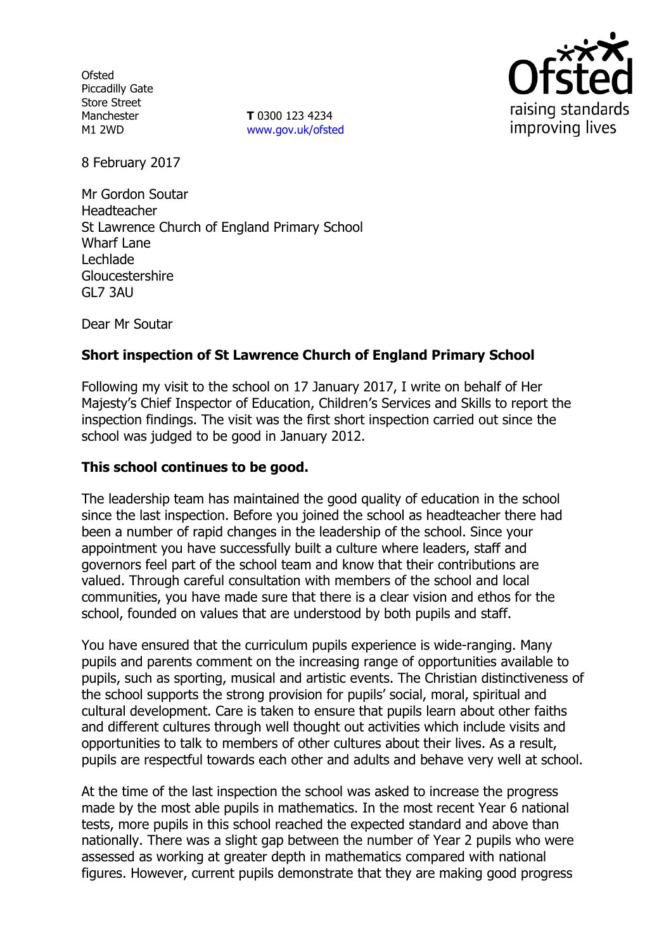**Ofsted** Piccadilly Gate Store Street Manchester M1 2WD

**T** 0300 123 4234 www.gov.uk/ofsted



8 February 2017

Mr Gordon Soutar Headteacher St Lawrence Church of England Primary School Wharf Lane Lechlade Gloucestershire GL7 3AU

Dear Mr Soutar

# **Short inspection of St Lawrence Church of England Primary School**

Following my visit to the school on 17 January 2017, I write on behalf of Her Majesty's Chief Inspector of Education, Children's Services and Skills to report the inspection findings. The visit was the first short inspection carried out since the school was judged to be good in January 2012.

## **This school continues to be good.**

The leadership team has maintained the good quality of education in the school since the last inspection. Before you joined the school as headteacher there had been a number of rapid changes in the leadership of the school. Since your appointment you have successfully built a culture where leaders, staff and governors feel part of the school team and know that their contributions are valued. Through careful consultation with members of the school and local communities, you have made sure that there is a clear vision and ethos for the school, founded on values that are understood by both pupils and staff.

You have ensured that the curriculum pupils experience is wide-ranging. Many pupils and parents comment on the increasing range of opportunities available to pupils, such as sporting, musical and artistic events. The Christian distinctiveness of the school supports the strong provision for pupils' social, moral, spiritual and cultural development. Care is taken to ensure that pupils learn about other faiths and different cultures through well thought out activities which include visits and opportunities to talk to members of other cultures about their lives. As a result, pupils are respectful towards each other and adults and behave very well at school.

At the time of the last inspection the school was asked to increase the progress made by the most able pupils in mathematics. In the most recent Year 6 national tests, more pupils in this school reached the expected standard and above than nationally. There was a slight gap between the number of Year 2 pupils who were assessed as working at greater depth in mathematics compared with national figures. However, current pupils demonstrate that they are making good progress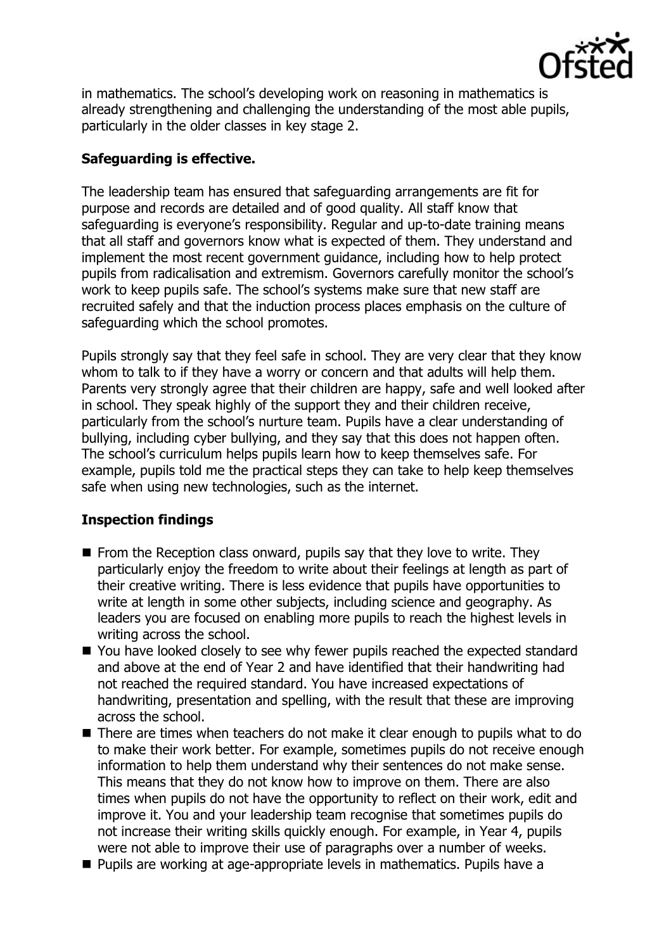

in mathematics. The school's developing work on reasoning in mathematics is already strengthening and challenging the understanding of the most able pupils, particularly in the older classes in key stage 2.

# **Safeguarding is effective.**

The leadership team has ensured that safeguarding arrangements are fit for purpose and records are detailed and of good quality. All staff know that safeguarding is everyone's responsibility. Regular and up-to-date training means that all staff and governors know what is expected of them. They understand and implement the most recent government guidance, including how to help protect pupils from radicalisation and extremism. Governors carefully monitor the school's work to keep pupils safe. The school's systems make sure that new staff are recruited safely and that the induction process places emphasis on the culture of safeguarding which the school promotes.

Pupils strongly say that they feel safe in school. They are very clear that they know whom to talk to if they have a worry or concern and that adults will help them. Parents very strongly agree that their children are happy, safe and well looked after in school. They speak highly of the support they and their children receive, particularly from the school's nurture team. Pupils have a clear understanding of bullying, including cyber bullying, and they say that this does not happen often. The school's curriculum helps pupils learn how to keep themselves safe. For example, pupils told me the practical steps they can take to help keep themselves safe when using new technologies, such as the internet.

# **Inspection findings**

- $\blacksquare$  From the Reception class onward, pupils say that they love to write. They particularly enjoy the freedom to write about their feelings at length as part of their creative writing. There is less evidence that pupils have opportunities to write at length in some other subjects, including science and geography. As leaders you are focused on enabling more pupils to reach the highest levels in writing across the school.
- You have looked closely to see why fewer pupils reached the expected standard and above at the end of Year 2 and have identified that their handwriting had not reached the required standard. You have increased expectations of handwriting, presentation and spelling, with the result that these are improving across the school.
- There are times when teachers do not make it clear enough to pupils what to do to make their work better. For example, sometimes pupils do not receive enough information to help them understand why their sentences do not make sense. This means that they do not know how to improve on them. There are also times when pupils do not have the opportunity to reflect on their work, edit and improve it. You and your leadership team recognise that sometimes pupils do not increase their writing skills quickly enough. For example, in Year 4, pupils were not able to improve their use of paragraphs over a number of weeks.
- **Pupils are working at age-appropriate levels in mathematics. Pupils have a**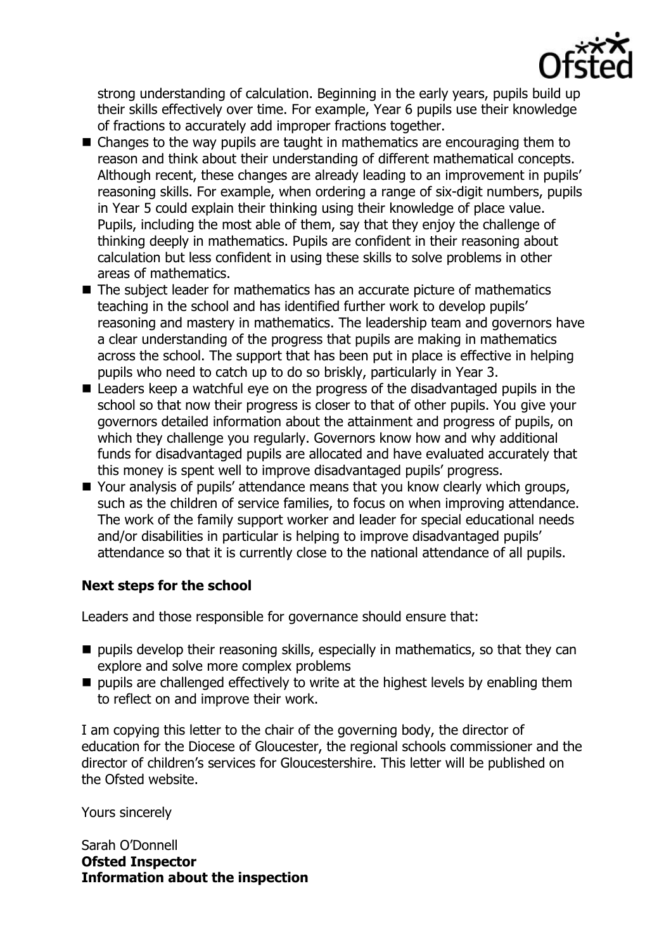

strong understanding of calculation. Beginning in the early years, pupils build up their skills effectively over time. For example, Year 6 pupils use their knowledge of fractions to accurately add improper fractions together.

- Changes to the way pupils are taught in mathematics are encouraging them to reason and think about their understanding of different mathematical concepts. Although recent, these changes are already leading to an improvement in pupils' reasoning skills. For example, when ordering a range of six-digit numbers, pupils in Year 5 could explain their thinking using their knowledge of place value. Pupils, including the most able of them, say that they enjoy the challenge of thinking deeply in mathematics. Pupils are confident in their reasoning about calculation but less confident in using these skills to solve problems in other areas of mathematics.
- The subject leader for mathematics has an accurate picture of mathematics teaching in the school and has identified further work to develop pupils' reasoning and mastery in mathematics. The leadership team and governors have a clear understanding of the progress that pupils are making in mathematics across the school. The support that has been put in place is effective in helping pupils who need to catch up to do so briskly, particularly in Year 3.
- Leaders keep a watchful eye on the progress of the disadvantaged pupils in the school so that now their progress is closer to that of other pupils. You give your governors detailed information about the attainment and progress of pupils, on which they challenge you regularly. Governors know how and why additional funds for disadvantaged pupils are allocated and have evaluated accurately that this money is spent well to improve disadvantaged pupils' progress.
- Your analysis of pupils' attendance means that you know clearly which groups, such as the children of service families, to focus on when improving attendance. The work of the family support worker and leader for special educational needs and/or disabilities in particular is helping to improve disadvantaged pupils' attendance so that it is currently close to the national attendance of all pupils.

## **Next steps for the school**

Leaders and those responsible for governance should ensure that:

- $\blacksquare$  pupils develop their reasoning skills, especially in mathematics, so that they can explore and solve more complex problems
- $\blacksquare$  pupils are challenged effectively to write at the highest levels by enabling them to reflect on and improve their work.

I am copying this letter to the chair of the governing body, the director of education for the Diocese of Gloucester, the regional schools commissioner and the director of children's services for Gloucestershire. This letter will be published on the Ofsted website.

Yours sincerely

Sarah O'Donnell **Ofsted Inspector Information about the inspection**